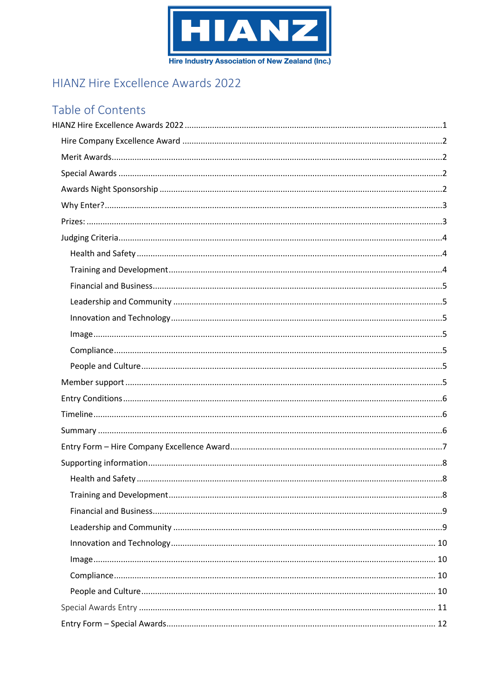

# <span id="page-0-0"></span>HIANZ Hire Excellence Awards 2022

# Table of Contents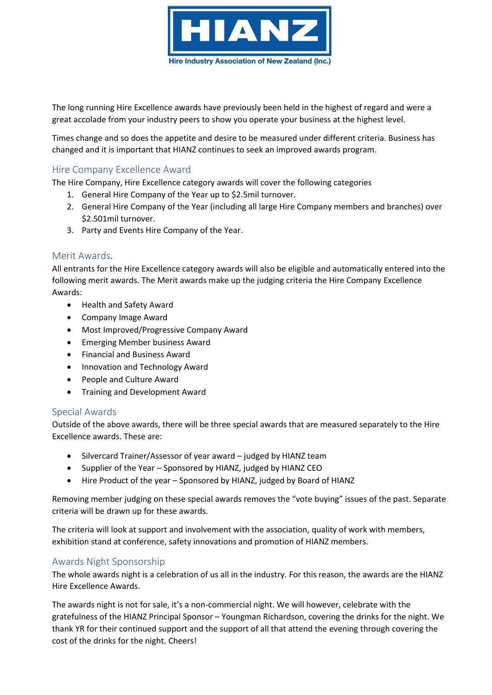

The long running Hire Excellence awards have previously been held in the highest of regard and were a great accolade from your industry peers to show you operate your business at the highest level.

Times change and so does the appetite and desire to be measured under different criteria. Business has changed and it is important that HIANZ continues to seek an improved awards program.

# <span id="page-1-0"></span>Hire Company Excellence Award

The Hire Company, Hire Excellence category awards will cover the following categories

- 1. General Hire Company of the Year up to \$2.5mil turnover.
- 2. General Hire Company of the Year (including all large Hire Company members and branches) over \$2.501mil turnover.
- 3. Party and Events Hire Company of the Year.

# <span id="page-1-1"></span>Merit Awards.

All entrants for the Hire Excellence category awards will also be eligible and automatically entered into the following merit awards. The Merit awards make up the judging criteria the Hire Company Excellence Awards:

- Health and Safety Award
- Company Image Award
- Most Improved/Progressive Company Award
- Emerging Member business Award
- Financial and Business Award
- Innovation and Technology Award
- People and Culture Award
- Training and Development Award

# <span id="page-1-2"></span>Special Awards

Outside of the above awards, there will be three special awards that are measured separately to the Hire Excellence awards. These are:

- Silvercard Trainer/Assessor of year award judged by HIANZ team
- Supplier of the Year Sponsored by HIANZ, judged by HIANZ CEO
- Hire Product of the year Sponsored by HIANZ, judged by Board of HIANZ

Removing member judging on these special awards removes the "vote buying" issues of the past. Separate criteria will be drawn up for these awards.

The criteria will look at support and involvement with the association, quality of work with members, exhibition stand at conference, safety innovations and promotion of HIANZ members.

# <span id="page-1-3"></span>Awards Night Sponsorship

The whole awards night is a celebration of us all in the industry. For this reason, the awards are the HIANZ Hire Excellence Awards.

The awards night is not for sale, it's a non-commercial night. We will however, celebrate with the gratefulness of the HIANZ Principal Sponsor – Youngman Richardson, covering the drinks for the night. We thank YR for their continued support and the support of all that attend the evening through covering the cost of the drinks for the night. Cheers!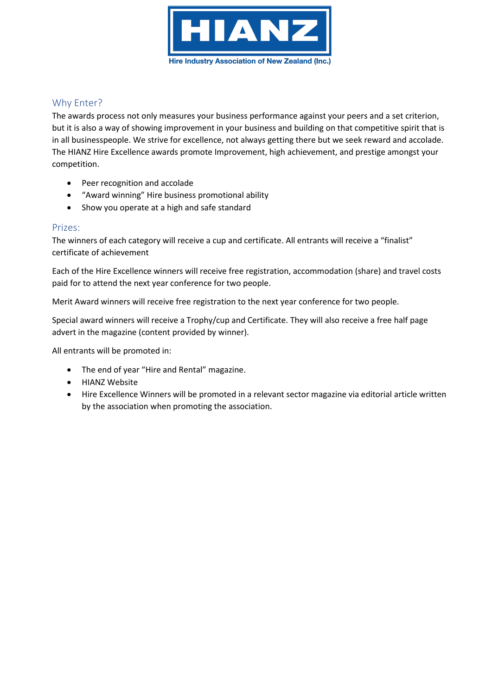

# <span id="page-2-0"></span>Why Enter?

The awards process not only measures your business performance against your peers and a set criterion, but it is also a way of showing improvement in your business and building on that competitive spirit that is in all businesspeople. We strive for excellence, not always getting there but we seek reward and accolade. The HIANZ Hire Excellence awards promote Improvement, high achievement, and prestige amongst your competition.

- Peer recognition and accolade
- "Award winning" Hire business promotional ability
- Show you operate at a high and safe standard

# <span id="page-2-1"></span>Prizes:

The winners of each category will receive a cup and certificate. All entrants will receive a "finalist" certificate of achievement

Each of the Hire Excellence winners will receive free registration, accommodation (share) and travel costs paid for to attend the next year conference for two people.

Merit Award winners will receive free registration to the next year conference for two people.

Special award winners will receive a Trophy/cup and Certificate. They will also receive a free half page advert in the magazine (content provided by winner).

All entrants will be promoted in:

- The end of year "Hire and Rental" magazine.
- HIANZ Website
- Hire Excellence Winners will be promoted in a relevant sector magazine via editorial article written by the association when promoting the association.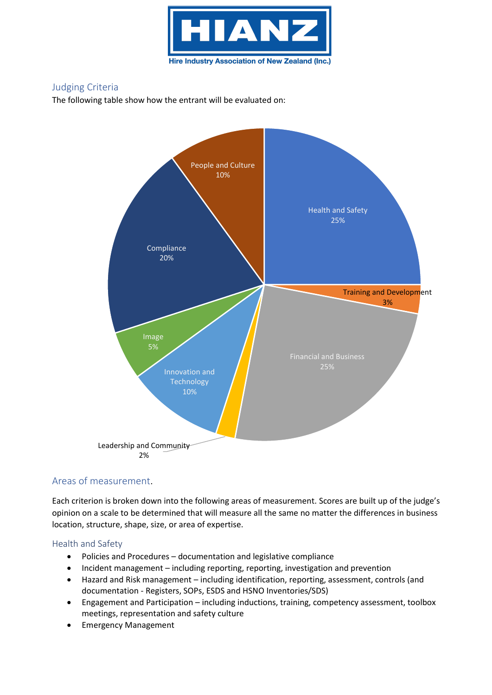

# <span id="page-3-0"></span>Judging Criteria

The following table show how the entrant will be evaluated on:



# Areas of measurement.

Each criterion is broken down into the following areas of measurement. Scores are built up of the judge's opinion on a scale to be determined that will measure all the same no matter the differences in business location, structure, shape, size, or area of expertise.

# <span id="page-3-2"></span><span id="page-3-1"></span>Health and Safety

- Policies and Procedures documentation and legislative compliance
- Incident management including reporting, reporting, investigation and prevention
- Hazard and Risk management including identification, reporting, assessment, controls (and documentation - Registers, SOPs, ESDS and HSNO Inventories/SDS)
- Engagement and Participation including inductions, training, competency assessment, toolbox meetings, representation and safety culture
- Emergency Management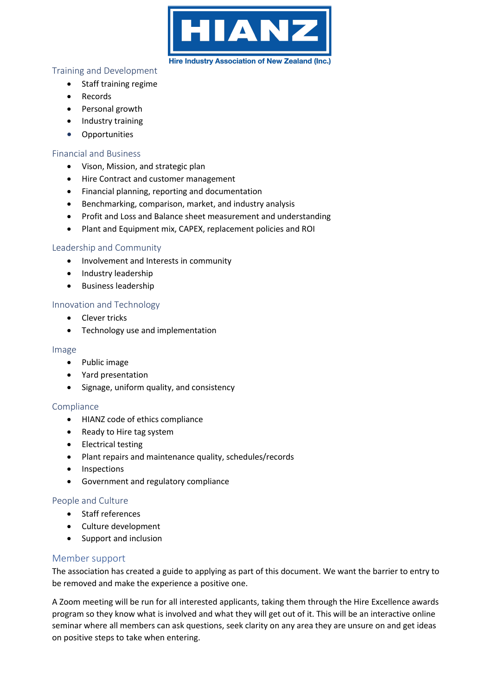

### Training and Development

- Staff training regime
- Records
- Personal growth
- Industry training
- **Opportunities**

# <span id="page-4-0"></span>Financial and Business

- Vison, Mission, and strategic plan
- Hire Contract and customer management
- Financial planning, reporting and documentation
- Benchmarking, comparison, market, and industry analysis
- Profit and Loss and Balance sheet measurement and understanding
- Plant and Equipment mix, CAPEX, replacement policies and ROI

# <span id="page-4-1"></span>Leadership and Community

- Involvement and Interests in community
- Industry leadership
- Business leadership

# <span id="page-4-2"></span>Innovation and Technology

- Clever tricks
- Technology use and implementation

### <span id="page-4-3"></span>Image

- Public image
- Yard presentation
- Signage, uniform quality, and consistency

# <span id="page-4-4"></span>Compliance

- HIANZ code of ethics compliance
- Ready to Hire tag system
- Electrical testing
- Plant repairs and maintenance quality, schedules/records
- Inspections
- Government and regulatory compliance

# <span id="page-4-5"></span>People and Culture

- Staff references
- Culture development
- Support and inclusion

# <span id="page-4-6"></span>Member support

The association has created a guide to applying as part of this document. We want the barrier to entry to be removed and make the experience a positive one.

A Zoom meeting will be run for all interested applicants, taking them through the Hire Excellence awards program so they know what is involved and what they will get out of it. This will be an interactive online seminar where all members can ask questions, seek clarity on any area they are unsure on and get ideas on positive steps to take when entering.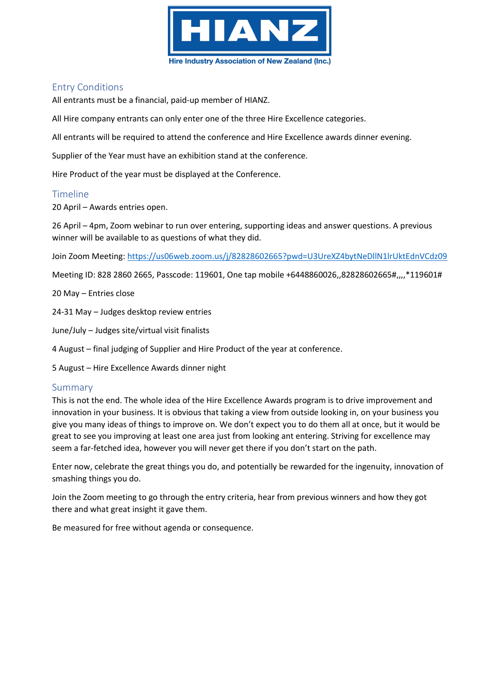

# <span id="page-5-0"></span>Entry Conditions

All entrants must be a financial, paid-up member of HIANZ.

All Hire company entrants can only enter one of the three Hire Excellence categories.

All entrants will be required to attend the conference and Hire Excellence awards dinner evening.

Supplier of the Year must have an exhibition stand at the conference.

Hire Product of the year must be displayed at the Conference.

#### <span id="page-5-1"></span>Timeline

20 April – Awards entries open.

26 April – 4pm, Zoom webinar to run over entering, supporting ideas and answer questions. A previous winner will be available to as questions of what they did.

Join Zoom Meeting:<https://us06web.zoom.us/j/82828602665?pwd=U3UreXZ4bytNeDllN1lrUktEdnVCdz09>

Meeting ID: 828 2860 2665, Passcode: 119601, One tap mobile +6448860026,,82828602665#,,,,\*119601#

20 May – Entries close

24-31 May – Judges desktop review entries

June/July – Judges site/virtual visit finalists

4 August – final judging of Supplier and Hire Product of the year at conference.

5 August – Hire Excellence Awards dinner night

# <span id="page-5-2"></span>Summary

This is not the end. The whole idea of the Hire Excellence Awards program is to drive improvement and innovation in your business. It is obvious that taking a view from outside looking in, on your business you give you many ideas of things to improve on. We don't expect you to do them all at once, but it would be great to see you improving at least one area just from looking ant entering. Striving for excellence may seem a far-fetched idea, however you will never get there if you don't start on the path.

Enter now, celebrate the great things you do, and potentially be rewarded for the ingenuity, innovation of smashing things you do.

Join the Zoom meeting to go through the entry criteria, hear from previous winners and how they got there and what great insight it gave them.

Be measured for free without agenda or consequence.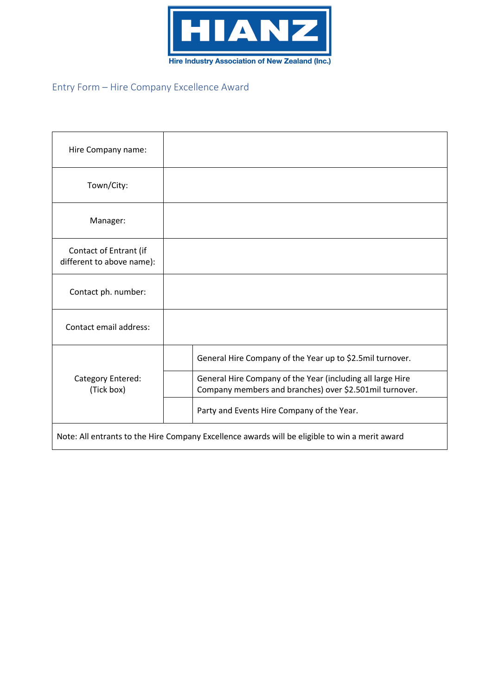

# <span id="page-6-0"></span>Entry Form – Hire Company Excellence Award

| Hire Company name:                                                                             |                                                                                                                       |
|------------------------------------------------------------------------------------------------|-----------------------------------------------------------------------------------------------------------------------|
| Town/City:                                                                                     |                                                                                                                       |
| Manager:                                                                                       |                                                                                                                       |
| Contact of Entrant (if<br>different to above name):                                            |                                                                                                                       |
| Contact ph. number:                                                                            |                                                                                                                       |
| Contact email address:                                                                         |                                                                                                                       |
| Category Entered:<br>(Tick box)                                                                | General Hire Company of the Year up to \$2.5mil turnover.                                                             |
|                                                                                                | General Hire Company of the Year (including all large Hire<br>Company members and branches) over \$2.501mil turnover. |
|                                                                                                | Party and Events Hire Company of the Year.                                                                            |
| Note: All entrants to the Hire Company Excellence awards will be eligible to win a merit award |                                                                                                                       |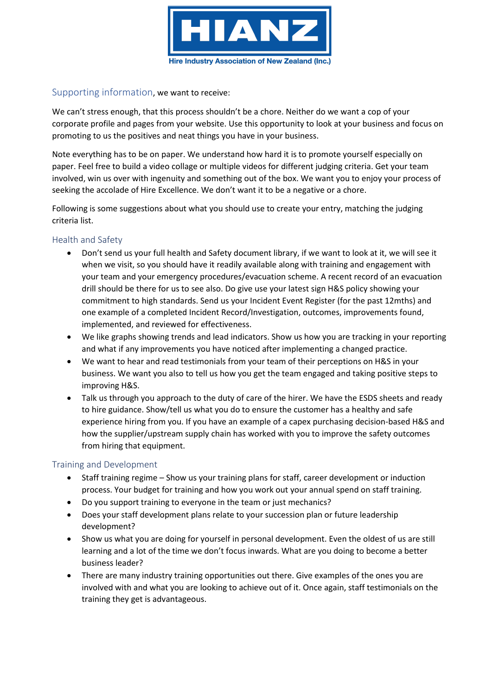

# <span id="page-7-0"></span>Supporting information, we want to receive:

We can't stress enough, that this process shouldn't be a chore. Neither do we want a cop of your corporate profile and pages from your website. Use this opportunity to look at your business and focus on promoting to us the positives and neat things you have in your business.

Note everything has to be on paper. We understand how hard it is to promote yourself especially on paper. Feel free to build a video collage or multiple videos for different judging criteria. Get your team involved, win us over with ingenuity and something out of the box. We want you to enjoy your process of seeking the accolade of Hire Excellence. We don't want it to be a negative or a chore.

Following is some suggestions about what you should use to create your entry, matching the judging criteria list.

# <span id="page-7-1"></span>Health and Safety

- Don't send us your full health and Safety document library, if we want to look at it, we will see it when we visit, so you should have it readily available along with training and engagement with your team and your emergency procedures/evacuation scheme. A recent record of an evacuation drill should be there for us to see also. Do give use your latest sign H&S policy showing your commitment to high standards. Send us your Incident Event Register (for the past 12mths) and one example of a completed Incident Record/Investigation, outcomes, improvements found, implemented, and reviewed for effectiveness.
- We like graphs showing trends and lead indicators. Show us how you are tracking in your reporting and what if any improvements you have noticed after implementing a changed practice.
- We want to hear and read testimonials from your team of their perceptions on H&S in your business. We want you also to tell us how you get the team engaged and taking positive steps to improving H&S.
- Talk us through you approach to the duty of care of the hirer. We have the ESDS sheets and ready to hire guidance. Show/tell us what you do to ensure the customer has a healthy and safe experience hiring from you. If you have an example of a capex purchasing decision-based H&S and how the supplier/upstream supply chain has worked with you to improve the safety outcomes from hiring that equipment.

# <span id="page-7-2"></span>Training and Development

- Staff training regime Show us your training plans for staff, career development or induction process. Your budget for training and how you work out your annual spend on staff training.
- Do you support training to everyone in the team or just mechanics?
- Does your staff development plans relate to your succession plan or future leadership development?
- Show us what you are doing for yourself in personal development. Even the oldest of us are still learning and a lot of the time we don't focus inwards. What are you doing to become a better business leader?
- There are many industry training opportunities out there. Give examples of the ones you are involved with and what you are looking to achieve out of it. Once again, staff testimonials on the training they get is advantageous.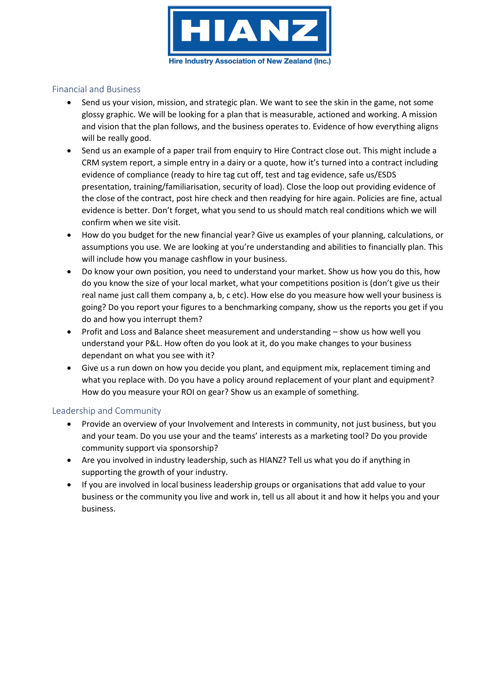

### <span id="page-8-0"></span>Financial and Business

- Send us your vision, mission, and strategic plan. We want to see the skin in the game, not some glossy graphic. We will be looking for a plan that is measurable, actioned and working. A mission and vision that the plan follows, and the business operates to. Evidence of how everything aligns will be really good.
- Send us an example of a paper trail from enquiry to Hire Contract close out. This might include a CRM system report, a simple entry in a dairy or a quote, how it's turned into a contract including evidence of compliance (ready to hire tag cut off, test and tag evidence, safe us/ESDS presentation, training/familiarisation, security of load). Close the loop out providing evidence of the close of the contract, post hire check and then readying for hire again. Policies are fine, actual evidence is better. Don't forget, what you send to us should match real conditions which we will confirm when we site visit.
- How do you budget for the new financial year? Give us examples of your planning, calculations, or assumptions you use. We are looking at you're understanding and abilities to financially plan. This will include how you manage cashflow in your business.
- Do know your own position, you need to understand your market. Show us how you do this, how do you know the size of your local market, what your competitions position is (don't give us their real name just call them company a, b, c etc). How else do you measure how well your business is going? Do you report your figures to a benchmarking company, show us the reports you get if you do and how you interrupt them?
- Profit and Loss and Balance sheet measurement and understanding show us how well you understand your P&L. How often do you look at it, do you make changes to your business dependant on what you see with it?
- Give us a run down on how you decide you plant, and equipment mix, replacement timing and what you replace with. Do you have a policy around replacement of your plant and equipment? How do you measure your ROI on gear? Show us an example of something.

# <span id="page-8-1"></span>Leadership and Community

- Provide an overview of your Involvement and Interests in community, not just business, but you and your team. Do you use your and the teams' interests as a marketing tool? Do you provide community support via sponsorship?
- Are you involved in industry leadership, such as HIANZ? Tell us what you do if anything in supporting the growth of your industry.
- If you are involved in local business leadership groups or organisations that add value to your business or the community you live and work in, tell us all about it and how it helps you and your business.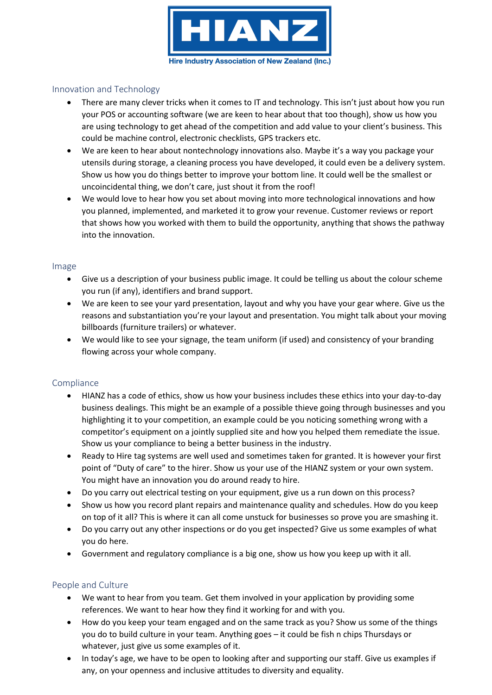

### <span id="page-9-0"></span>Innovation and Technology

- There are many clever tricks when it comes to IT and technology. This isn't just about how you run your POS or accounting software (we are keen to hear about that too though), show us how you are using technology to get ahead of the competition and add value to your client's business. This could be machine control, electronic checklists, GPS trackers etc.
- We are keen to hear about nontechnology innovations also. Maybe it's a way you package your utensils during storage, a cleaning process you have developed, it could even be a delivery system. Show us how you do things better to improve your bottom line. It could well be the smallest or uncoincidental thing, we don't care, just shout it from the roof!
- We would love to hear how you set about moving into more technological innovations and how you planned, implemented, and marketed it to grow your revenue. Customer reviews or report that shows how you worked with them to build the opportunity, anything that shows the pathway into the innovation.

#### <span id="page-9-1"></span>Image

- Give us a description of your business public image. It could be telling us about the colour scheme you run (if any), identifiers and brand support.
- We are keen to see your yard presentation, layout and why you have your gear where. Give us the reasons and substantiation you're your layout and presentation. You might talk about your moving billboards (furniture trailers) or whatever.
- We would like to see your signage, the team uniform (if used) and consistency of your branding flowing across your whole company.

#### <span id="page-9-2"></span>Compliance

- HIANZ has a code of ethics, show us how your business includes these ethics into your day-to-day business dealings. This might be an example of a possible thieve going through businesses and you highlighting it to your competition, an example could be you noticing something wrong with a competitor's equipment on a jointly supplied site and how you helped them remediate the issue. Show us your compliance to being a better business in the industry.
- Ready to Hire tag systems are well used and sometimes taken for granted. It is however your first point of "Duty of care" to the hirer. Show us your use of the HIANZ system or your own system. You might have an innovation you do around ready to hire.
- Do you carry out electrical testing on your equipment, give us a run down on this process?
- Show us how you record plant repairs and maintenance quality and schedules. How do you keep on top of it all? This is where it can all come unstuck for businesses so prove you are smashing it.
- Do you carry out any other inspections or do you get inspected? Give us some examples of what you do here.
- Government and regulatory compliance is a big one, show us how you keep up with it all.

# <span id="page-9-3"></span>People and Culture

- We want to hear from you team. Get them involved in your application by providing some references. We want to hear how they find it working for and with you.
- How do you keep your team engaged and on the same track as you? Show us some of the things you do to build culture in your team. Anything goes – it could be fish n chips Thursdays or whatever, just give us some examples of it.
- In today's age, we have to be open to looking after and supporting our staff. Give us examples if any, on your openness and inclusive attitudes to diversity and equality.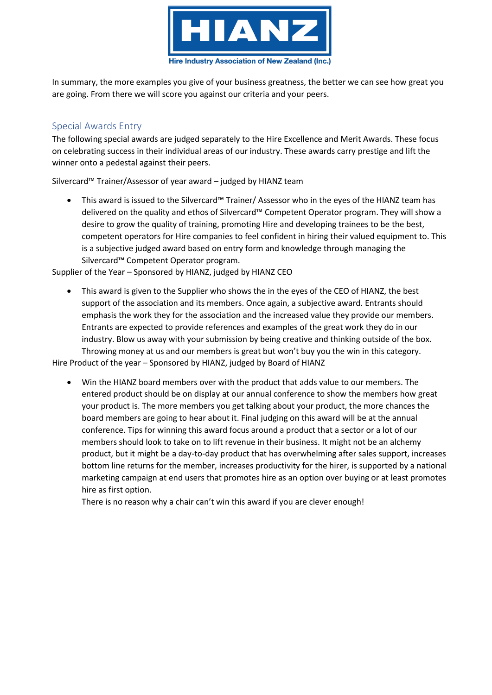

In summary, the more examples you give of your business greatness, the better we can see how great you are going. From there we will score you against our criteria and your peers.

# <span id="page-10-0"></span>Special Awards Entry

The following special awards are judged separately to the Hire Excellence and Merit Awards. These focus on celebrating success in their individual areas of our industry. These awards carry prestige and lift the winner onto a pedestal against their peers.

Silvercard™ Trainer/Assessor of year award – judged by HIANZ team

• This award is issued to the Silvercard™ Trainer/ Assessor who in the eyes of the HIANZ team has delivered on the quality and ethos of Silvercard™ Competent Operator program. They will show a desire to grow the quality of training, promoting Hire and developing trainees to be the best, competent operators for Hire companies to feel confident in hiring their valued equipment to. This is a subjective judged award based on entry form and knowledge through managing the Silvercard™ Competent Operator program.

Supplier of the Year – Sponsored by HIANZ, judged by HIANZ CEO

• This award is given to the Supplier who shows the in the eyes of the CEO of HIANZ, the best support of the association and its members. Once again, a subjective award. Entrants should emphasis the work they for the association and the increased value they provide our members. Entrants are expected to provide references and examples of the great work they do in our industry. Blow us away with your submission by being creative and thinking outside of the box. Throwing money at us and our members is great but won't buy you the win in this category.

Hire Product of the year – Sponsored by HIANZ, judged by Board of HIANZ

• Win the HIANZ board members over with the product that adds value to our members. The entered product should be on display at our annual conference to show the members how great your product is. The more members you get talking about your product, the more chances the board members are going to hear about it. Final judging on this award will be at the annual conference. Tips for winning this award focus around a product that a sector or a lot of our members should look to take on to lift revenue in their business. It might not be an alchemy product, but it might be a day-to-day product that has overwhelming after sales support, increases bottom line returns for the member, increases productivity for the hirer, is supported by a national marketing campaign at end users that promotes hire as an option over buying or at least promotes hire as first option.

There is no reason why a chair can't win this award if you are clever enough!